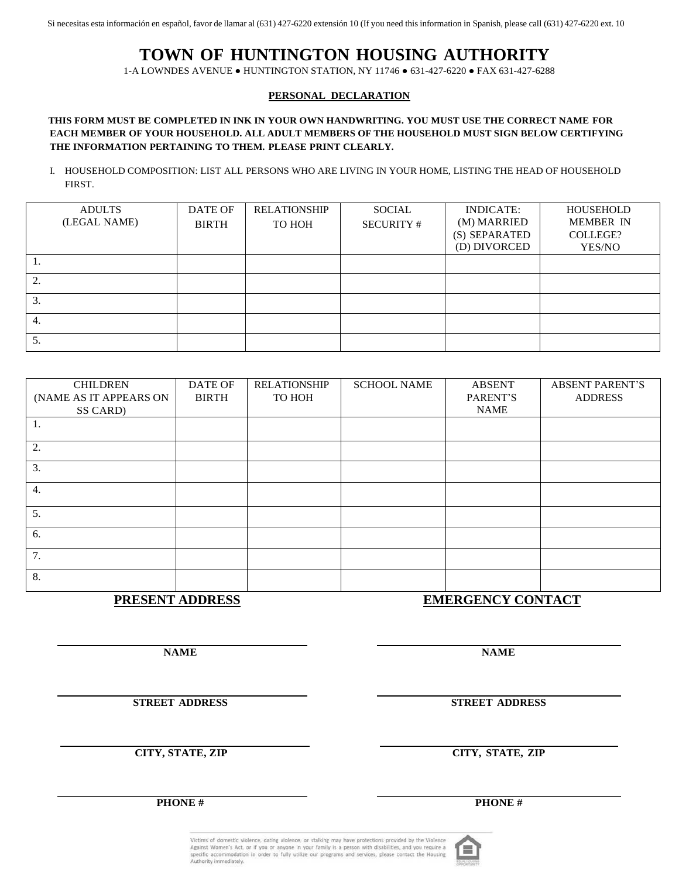Si necesitas esta información en español, favor de llamar al (631) 427-6220 extensión 10 (If you need this information in Spanish, please call (631) 427-6220 ext. 10

# **TOWN OF HUNTINGTON HOUSING AUTHORITY**

1-A LOWNDES AVENUE ● HUNTINGTON STATION, NY 11746 ● 631-427-6220 ● FAX 631-427-6288

## **PERSONAL DECLARATION**

## **THIS FORM MUST BE COMPLETED IN INK IN YOUR OWN HANDWRITING. YOU MUST USE THE CORRECT NAME FOR EACH MEMBER OF YOUR HOUSEHOLD. ALL ADULT MEMBERS OF THE HOUSEHOLD MUST SIGN BELOW CERTIFYING THE INFORMATION PERTAINING TO THEM. PLEASE PRINT CLEARLY.**

I. HOUSEHOLD COMPOSITION: LIST ALL PERSONS WHO ARE LIVING IN YOUR HOME, LISTING THE HEAD OF HOUSEHOLD FIRST.

| <b>ADULTS</b> | DATE OF      | <b>RELATIONSHIP</b> | SOCIAL            | <b>INDICATE:</b>              | HOUSEHOLD          |
|---------------|--------------|---------------------|-------------------|-------------------------------|--------------------|
| (LEGAL NAME)  | <b>BIRTH</b> | TO HOH              | <b>SECURITY #</b> | (M) MARRIED                   | <b>MEMBER IN</b>   |
|               |              |                     |                   | (S) SEPARATED<br>(D) DIVORCED | COLLEGE?<br>YES/NO |
| .,            |              |                     |                   |                               |                    |
| 2.            |              |                     |                   |                               |                    |
| 3.            |              |                     |                   |                               |                    |
| 4.            |              |                     |                   |                               |                    |
| 5.            |              |                     |                   |                               |                    |

| <b>CHILDREN</b>        | <b>DATE OF</b>  | <b>RELATIONSHIP</b>      | <b>SCHOOL NAME</b> | <b>ABSENT</b> | <b>ABSENT PARENT'S</b> |  |
|------------------------|-----------------|--------------------------|--------------------|---------------|------------------------|--|
| (NAME AS IT APPEARS ON | <b>BIRTH</b>    | TO HOH                   |                    | PARENT'S      | <b>ADDRESS</b>         |  |
| SS CARD)               |                 |                          |                    | <b>NAME</b>   |                        |  |
| 1.                     |                 |                          |                    |               |                        |  |
| 2.                     |                 |                          |                    |               |                        |  |
| 3.                     |                 |                          |                    |               |                        |  |
| 4.                     |                 |                          |                    |               |                        |  |
| 5.                     |                 |                          |                    |               |                        |  |
| 6.                     |                 |                          |                    |               |                        |  |
| 7.                     |                 |                          |                    |               |                        |  |
| 8.                     |                 |                          |                    |               |                        |  |
|                        | PRESENT ADDRESS | <b>EMERGENCY CONTACT</b> |                    |               |                        |  |

**NAME NAME**

**STREET ADDRESS STREET ADDRESS**

**CITY, STATE, ZIP CITY, STATE, ZIP**

Victims of domestic violence, dating violence, or stalking may have protections provided by the Violen Against Women's Act, or if you or anyone in your family is a person with disabilities, and you require a specific accommodation in order to fully utilize our programs and services, please contact the Housing Authority imme

**PHONE # PHONE #**